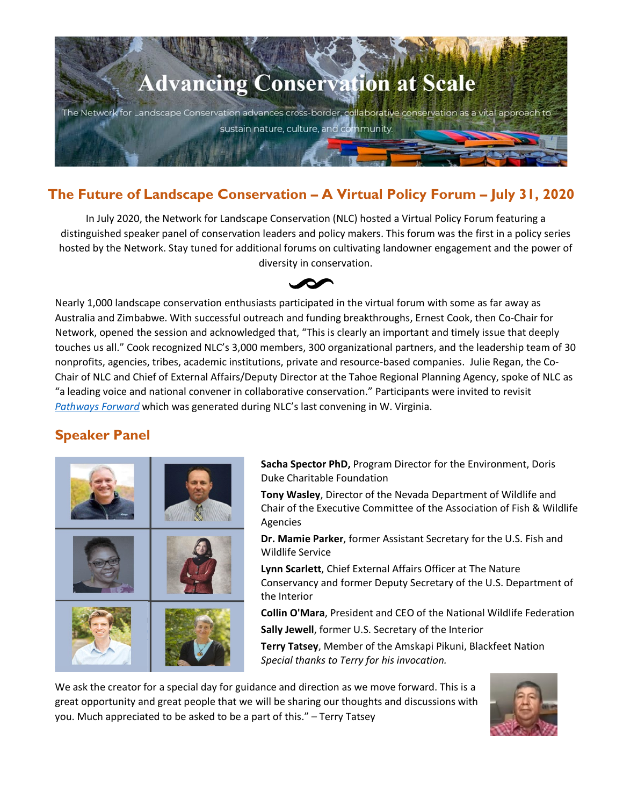

# **The Future of Landscape Conservation – A Virtual Policy Forum – July 31, 2020**

In July 2020, the Network for Landscape Conservation (NLC) hosted a Virtual Policy Forum featuring a distinguished speaker panel of conservation leaders and policy makers. This forum was the first in a policy series hosted by the Network. Stay tuned for additional forums on cultivating landowner engagement and the power of diversity in conservation.



Nearly 1,000 landscape conservation enthusiasts participated in the virtual forum with some as far away as Australia and Zimbabwe. With successful outreach and funding breakthroughs, Ernest Cook, then Co-Chair for Network, opened the session and acknowledged that, "This is clearly an important and timely issue that deeply touches us all." Cook recognized NLC's 3,000 members, 300 organizational partners, and the leadership team of 30 nonprofits, agencies, tribes, academic institutions, private and resource-based companies. Julie Regan, the Co-Chair of NLC and Chief of External Affairs/Deputy Director at the Tahoe Regional Planning Agency, spoke of NLC as "a leading voice and national convener in collaborative conservation." Participants were invited to revisit *[Pathways Forward](http://landscapeconservation.org/wp-content/uploads/2018/08/Pathways-Forward_2018_NLC.pdf)* which was generated during NLC's last convening in W. Virginia.

# **Speaker Panel**



**Sacha Spector PhD,** Program Director for the Environment, Doris Duke Charitable Foundation

**Tony Wasley**, Director of the Nevada Department of Wildlife and Chair of the Executive Committee of the Association of Fish & Wildlife Agencies

**Dr. Mamie Parker**, former Assistant Secretary for the U.S. Fish and Wildlife Service

**Lynn Scarlett**, Chief External Affairs Officer at The Nature Conservancy and former Deputy Secretary of the U.S. Department of the Interior

**Collin O'Mara**, President and CEO of the National Wildlife Federation **Sally Jewell**, former U.S. Secretary of the Interior

**Terry Tatsey**, Member of the Amskapi Pikuni, Blackfeet Nation *Special thanks to Terry for his invocation.*

We ask the creator for a special day for guidance and direction as we move forward. This is a great opportunity and great people that we will be sharing our thoughts and discussions with you. Much appreciated to be asked to be a part of this." – Terry Tatsey

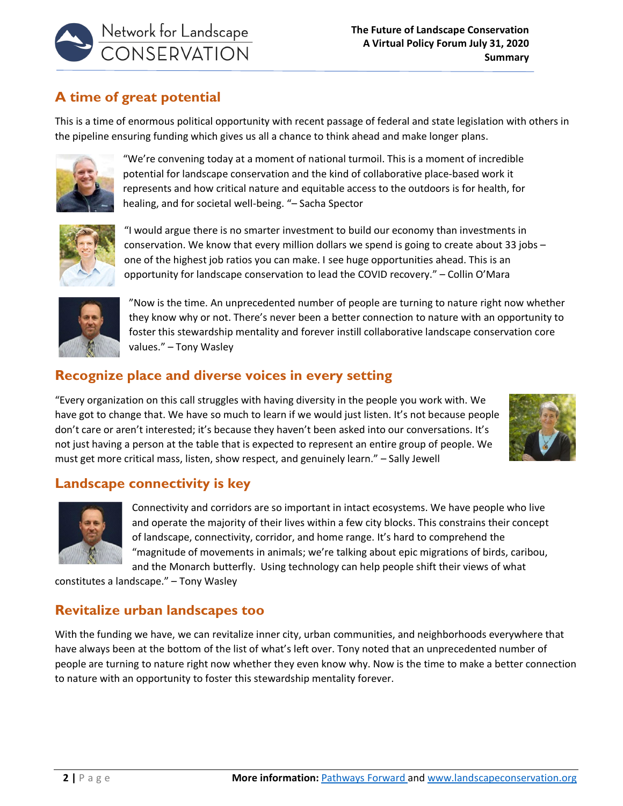

# **A time of great potential**

This is a time of enormous political opportunity with recent passage of federal and state legislation with others in the pipeline ensuring funding which gives us all a chance to think ahead and make longer plans.



"We're convening today at a moment of national turmoil. This is a moment of incredible potential for landscape conservation and the kind of collaborative place-based work it represents and how critical nature and equitable access to the outdoors is for health, for healing, and for societal well-being. "– Sacha Spector



"I would argue there is no smarter investment to build our economy than investments in conservation. We know that every million dollars we spend is going to create about 33 jobs – one of the highest job ratios you can make. I see huge opportunities ahead. This is an opportunity for landscape conservation to lead the COVID recovery." – Collin O'Mara



"Now is the time. An unprecedented number of people are turning to nature right now whether they know why or not. There's never been a better connection to nature with an opportunity to foster this stewardship mentality and forever instill collaborative landscape conservation core values." – Tony Wasley

# **Recognize place and diverse voices in every setting**

"Every organization on this call struggles with having diversity in the people you work with. We have got to change that. We have so much to learn if we would just listen. It's not because people don't care or aren't interested; it's because they haven't been asked into our conversations. It's not just having a person at the table that is expected to represent an entire group of people. We must get more critical mass, listen, show respect, and genuinely learn." – Sally Jewell



#### **Landscape connectivity is key**



Connectivity and corridors are so important in intact ecosystems. We have people who live and operate the majority of their lives within a few city blocks. This constrains their concept of landscape, connectivity, corridor, and home range. It's hard to comprehend the "magnitude of movements in animals; we're talking about epic migrations of birds, caribou, and the Monarch butterfly. Using technology can help people shift their views of what

constitutes a landscape." – Tony Wasley

#### **Revitalize urban landscapes too**

With the funding we have, we can revitalize inner city, urban communities, and neighborhoods everywhere that have always been at the bottom of the list of what's left over. Tony noted that an unprecedented number of people are turning to nature right now whether they even know why. Now is the time to make a better connection to nature with an opportunity to foster this stewardship mentality forever.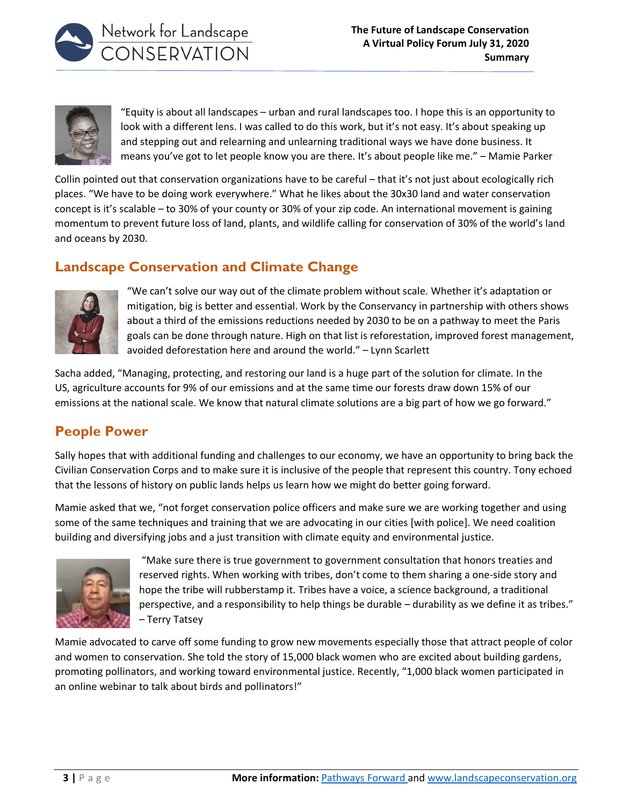



"Equity is about all landscapes – urban and rural landscapes too. I hope this is an opportunity to look with a different lens. I was called to do this work, but it's not easy. It's about speaking up and stepping out and relearning and unlearning traditional ways we have done business. It means you've got to let people know you are there. It's about people like me." – Mamie Parker

Collin pointed out that conservation organizations have to be careful – that it's not just about ecologically rich places. "We have to be doing work everywhere." What he likes about the 30x30 land and water conservation concept is it's scalable – to 30% of your county or 30% of your zip code. An international movement is gaining momentum to prevent future loss of land, plants, and wildlife calling for conservation of 30% of the world's land and oceans by 2030.

# **Landscape Conservation and Climate Change**



"We can't solve our way out of the climate problem without scale. Whether it's adaptation or mitigation, big is better and essential. Work by the Conservancy in partnership with others shows about a third of the emissions reductions needed by 2030 to be on a pathway to meet the Paris goals can be done through nature. High on that list is reforestation, improved forest management, avoided deforestation here and around the world." – Lynn Scarlett

Sacha added, "Managing, protecting, and restoring our land is a huge part of the solution for climate. In the US, agriculture accounts for 9% of our emissions and at the same time our forests draw down 15% of our emissions at the national scale. We know that natural climate solutions are a big part of how we go forward."

# **People Power**

Sally hopes that with additional funding and challenges to our economy, we have an opportunity to bring back the Civilian Conservation Corps and to make sure it is inclusive of the people that represent this country. Tony echoed that the lessons of history on public lands helps us learn how we might do better going forward.

Mamie asked that we, "not forget conservation police officers and make sure we are working together and using some of the same techniques and training that we are advocating in our cities [with police]. We need coalition building and diversifying jobs and a just transition with climate equity and environmental justice.



"Make sure there is true government to government consultation that honors treaties and reserved rights. When working with tribes, don't come to them sharing a one-side story and hope the tribe will rubberstamp it. Tribes have a voice, a science background, a traditional perspective, and a responsibility to help things be durable – durability as we define it as tribes." – Terry Tatsey

Mamie advocated to carve off some funding to grow new movements especially those that attract people of color and women to conservation. She told the story of 15,000 black women who are excited about building gardens, promoting pollinators, and working toward environmental justice. Recently, "1,000 black women participated in an online webinar to talk about birds and pollinators!"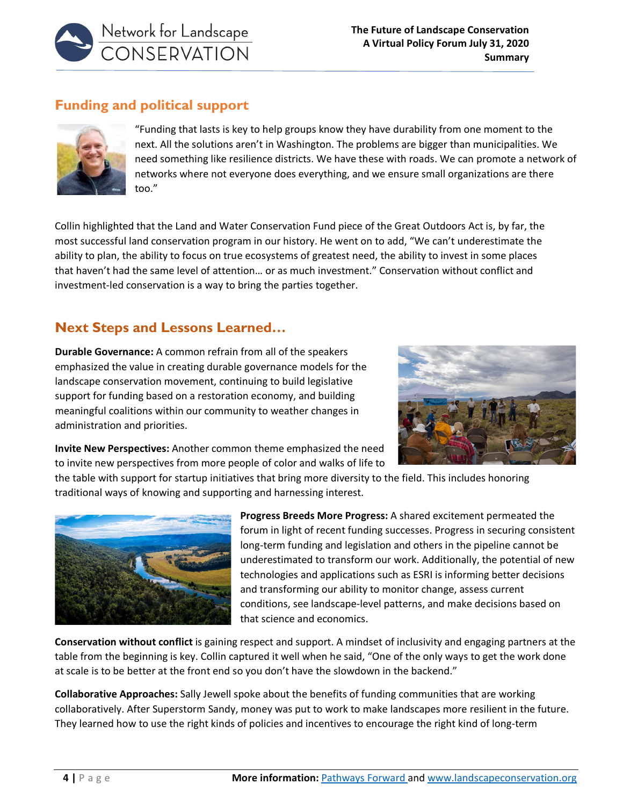

### **Funding and political support**



"Funding that lasts is key to help groups know they have durability from one moment to the next. All the solutions aren't in Washington. The problems are bigger than municipalities. We need something like resilience districts. We have these with roads. We can promote a network of networks where not everyone does everything, and we ensure small organizations are there too."

Collin highlighted that the Land and Water Conservation Fund piece of the Great Outdoors Act is, by far, the most successful land conservation program in our history. He went on to add, "We can't underestimate the ability to plan, the ability to focus on true ecosystems of greatest need, the ability to invest in some places that haven't had the same level of attention… or as much investment." Conservation without conflict and investment-led conservation is a way to bring the parties together.

### **Next Steps and Lessons Learned…**

**Durable Governance:** A common refrain from all of the speakers emphasized the value in creating durable governance models for the landscape conservation movement, continuing to build legislative support for funding based on a restoration economy, and building meaningful coalitions within our community to weather changes in administration and priorities.



**Invite New Perspectives:** Another common theme emphasized the need to invite new perspectives from more people of color and walks of life to

the table with support for startup initiatives that bring more diversity to the field. This includes honoring traditional ways of knowing and supporting and harnessing interest.



**Progress Breeds More Progress:** A shared excitement permeated the forum in light of recent funding successes. Progress in securing consistent long-term funding and legislation and others in the pipeline cannot be underestimated to transform our work. Additionally, the potential of new technologies and applications such as ESRI is informing better decisions and transforming our ability to monitor change, assess current conditions, see landscape-level patterns, and make decisions based on that science and economics.

**Conservation without conflict** is gaining respect and support. A mindset of inclusivity and engaging partners at the table from the beginning is key. Collin captured it well when he said, "One of the only ways to get the work done at scale is to be better at the front end so you don't have the slowdown in the backend."

**Collaborative Approaches:** Sally Jewell spoke about the benefits of funding communities that are working collaboratively. After Superstorm Sandy, money was put to work to make landscapes more resilient in the future. They learned how to use the right kinds of policies and incentives to encourage the right kind of long-term